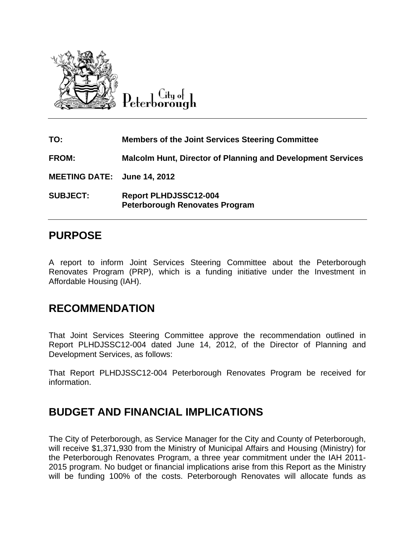

City of Peterborough

| TO:                         | <b>Members of the Joint Services Steering Committee</b>               |
|-----------------------------|-----------------------------------------------------------------------|
| <b>FROM:</b>                | <b>Malcolm Hunt, Director of Planning and Development Services</b>    |
| MEETING DATE: June 14, 2012 |                                                                       |
| <b>SUBJECT:</b>             | <b>Report PLHDJSSC12-004</b><br><b>Peterborough Renovates Program</b> |

### **PURPOSE**

A report to inform Joint Services Steering Committee about the Peterborough Renovates Program (PRP), which is a funding initiative under the Investment in Affordable Housing (IAH).

#### **RECOMMENDATION**

That Joint Services Steering Committee approve the recommendation outlined in Report PLHDJSSC12-004 dated June 14, 2012, of the Director of Planning and Development Services, as follows:

That Report PLHDJSSC12-004 Peterborough Renovates Program be received for information.

# **BUDGET AND FINANCIAL IMPLICATIONS**

The City of Peterborough, as Service Manager for the City and County of Peterborough, will receive \$1,371,930 from the Ministry of Municipal Affairs and Housing (Ministry) for the Peterborough Renovates Program, a three year commitment under the IAH 2011- 2015 program. No budget or financial implications arise from this Report as the Ministry will be funding 100% of the costs. Peterborough Renovates will allocate funds as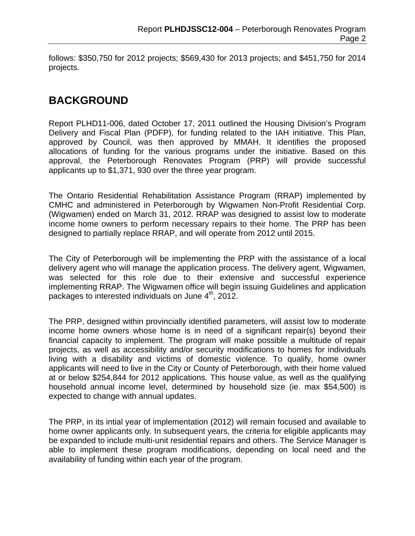follows: \$350,750 for 2012 projects; \$569,430 for 2013 projects; and \$451,750 for 2014 projects.

## **BACKGROUND**

Report PLHD11-006, dated October 17, 2011 outlined the Housing Division's Program Delivery and Fiscal Plan (PDFP), for funding related to the IAH initiative. This Plan, approved by Council, was then approved by MMAH. It identifies the proposed allocations of funding for the various programs under the initiative. Based on this approval, the Peterborough Renovates Program (PRP) will provide successful applicants up to \$1,371, 930 over the three year program.

The Ontario Residential Rehabilitation Assistance Program (RRAP) implemented by CMHC and administered in Peterborough by Wigwamen Non-Profit Residential Corp. (Wigwamen) ended on March 31, 2012. RRAP was designed to assist low to moderate income home owners to perform necessary repairs to their home. The PRP has been designed to partially replace RRAP, and will operate from 2012 until 2015.

The City of Peterborough will be implementing the PRP with the assistance of a local delivery agent who will manage the application process. The delivery agent, Wigwamen, was selected for this role due to their extensive and successful experience implementing RRAP. The Wigwamen office will begin issuing Guidelines and application packages to interested individuals on June 4<sup>th</sup>, 2012.

The PRP, designed within provincially identified parameters, will assist low to moderate income home owners whose home is in need of a significant repair(s) beyond their financial capacity to implement. The program will make possible a multitude of repair projects, as well as accessibility and/or security modifications to homes for individuals living with a disability and victims of domestic violence. To qualify, home owner applicants will need to live in the City or County of Peterborough, with their home valued at or below \$254,844 for 2012 applications. This house value, as well as the qualifying household annual income level, determined by household size (ie. max \$54,500) is expected to change with annual updates.

The PRP, in its intial year of implementation (2012) will remain focused and available to home owner applicants only. In subsequent years, the criteria for eligible applicants may be expanded to include multi-unit residential repairs and others. The Service Manager is able to implement these program modifications, depending on local need and the availability of funding within each year of the program.